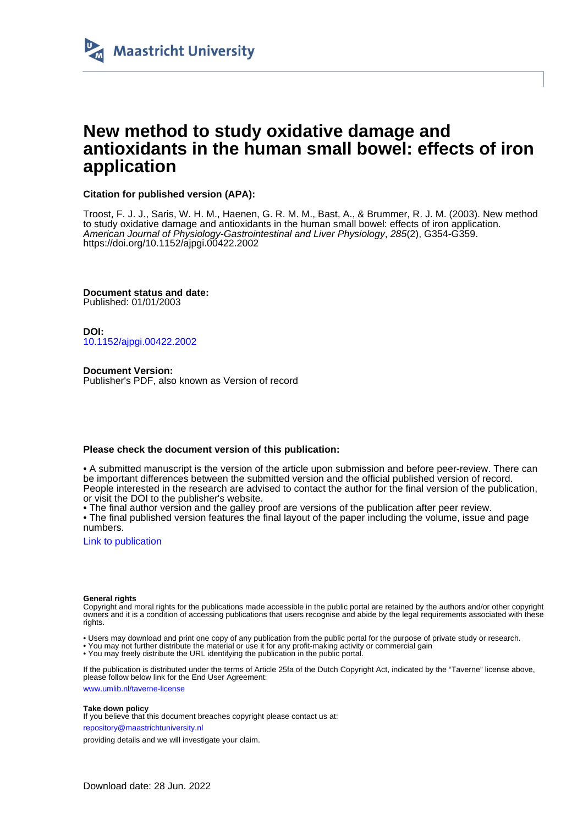

# **New method to study oxidative damage and antioxidants in the human small bowel: effects of iron application**

## **Citation for published version (APA):**

Troost, F. J. J., Saris, W. H. M., Haenen, G. R. M. M., Bast, A., & Brummer, R. J. M. (2003). New method to study oxidative damage and antioxidants in the human small bowel: effects of iron application. American Journal of Physiology-Gastrointestinal and Liver Physiology, 285(2), G354-G359. <https://doi.org/10.1152/ajpgi.00422.2002>

**Document status and date:** Published: 01/01/2003

**DOI:** [10.1152/ajpgi.00422.2002](https://doi.org/10.1152/ajpgi.00422.2002)

**Document Version:** Publisher's PDF, also known as Version of record

## **Please check the document version of this publication:**

• A submitted manuscript is the version of the article upon submission and before peer-review. There can be important differences between the submitted version and the official published version of record. People interested in the research are advised to contact the author for the final version of the publication, or visit the DOI to the publisher's website.

• The final author version and the galley proof are versions of the publication after peer review.

• The final published version features the final layout of the paper including the volume, issue and page numbers.

[Link to publication](https://cris.maastrichtuniversity.nl/en/publications/8a237bd0-01cc-406f-93a5-1c8f65fd9ef9)

### **General rights**

Copyright and moral rights for the publications made accessible in the public portal are retained by the authors and/or other copyright owners and it is a condition of accessing publications that users recognise and abide by the legal requirements associated with these rights.

- Users may download and print one copy of any publication from the public portal for the purpose of private study or research.
- You may not further distribute the material or use it for any profit-making activity or commercial gain
- You may freely distribute the URL identifying the publication in the public portal.

If the publication is distributed under the terms of Article 25fa of the Dutch Copyright Act, indicated by the "Taverne" license above, please follow below link for the End User Agreement:

www.umlib.nl/taverne-license

### **Take down policy**

If you believe that this document breaches copyright please contact us at:

repository@maastrichtuniversity.nl

providing details and we will investigate your claim.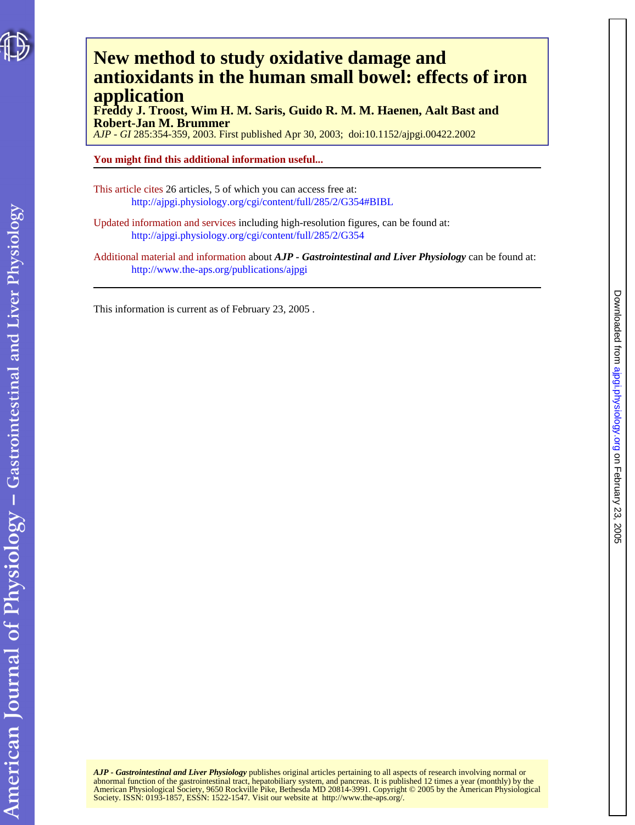

American Journal of Physiology - Gastrointestinal and Liver Physiology

# **application antioxidants in the human small bowel: effects of iron New method to study oxidative damage and**

**Robert-Jan M. Brummer Freddy J. Troost, Wim H. M. Saris, Guido R. M. M. Haenen, Aalt Bast and**

*AJP - GI* 285:354-359, 2003. First published Apr 30, 2003; doi:10.1152/ajpgi.00422.2002

# **You might find this additional information useful...**

This article cites 26 articles, 5 of which you can access free at: <http://ajpgi.physiology.org/cgi/content/full/285/2/G354#BIBL>

Updated information and services including high-resolution figures, can be found at: <http://ajpgi.physiology.org/cgi/content/full/285/2/G354>

Additional material and information about *AJP - Gastrointestinal and Liver Physiology* can be found at: <http://www.the-aps.org/publications/ajpgi>

This information is current as of February 23, 2005 .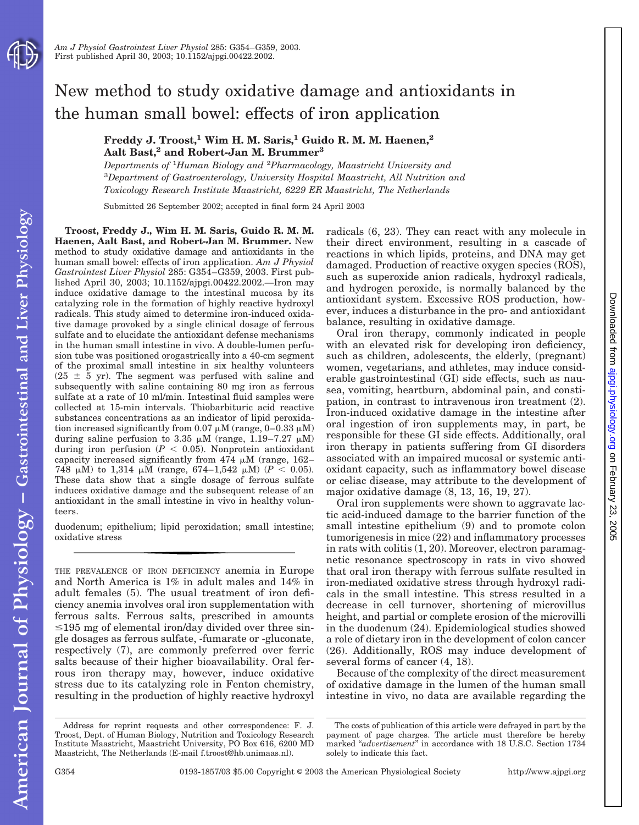# New method to study oxidative damage and antioxidants in the human small bowel: effects of iron application

**Freddy J. Troost,1 Wim H. M. Saris,1 Guido R. M. M. Haenen,2** Aalt Bast,<sup>2</sup> and Robert-Jan M. Brummer<sup>3</sup>

*Departments of* <sup>1</sup> *Human Biology and* <sup>2</sup> *Pharmacology, Maastricht University and* 3 *Department of Gastroenterology, University Hospital Maastricht, All Nutrition and Toxicology Research Institute Maastricht, 6229 ER Maastricht, The Netherlands*

Submitted 26 September 2002; accepted in final form 24 April 2003

**Troost, Freddy J., Wim H. M. Saris, Guido R. M. M. Haenen, Aalt Bast, and Robert-Jan M. Brummer.** New method to study oxidative damage and antioxidants in the human small bowel: effects of iron application. *Am J Physiol Gastrointest Liver Physiol* 285: G354–G359, 2003. First published April 30, 2003; 10.1152/ajpgi.00422.2002.—Iron may induce oxidative damage to the intestinal mucosa by its catalyzing role in the formation of highly reactive hydroxyl radicals. This study aimed to determine iron-induced oxidative damage provoked by a single clinical dosage of ferrous sulfate and to elucidate the antioxidant defense mechanisms in the human small intestine in vivo. A double-lumen perfusion tube was positioned orogastrically into a 40-cm segment of the proximal small intestine in six healthy volunteers  $(25 \pm 5 \text{ yr})$ . The segment was perfused with saline and subsequently with saline containing 80 mg iron as ferrous sulfate at a rate of 10 ml/min. Intestinal fluid samples were collected at 15-min intervals. Thiobarbituric acid reactive substances concentrations as an indicator of lipid peroxidation increased significantly from  $0.07 \mu$ M (range,  $0-0.33 \mu$ M) during saline perfusion to 3.35  $\mu$ M (range, 1.19–7.27  $\mu$ M) during iron perfusion  $(P < 0.05)$ . Nonprotein antioxidant capacity increased significantly from  $474 \mu M$  (range,  $162-$ 748  $\mu$ M) to 1,314  $\mu$ M (range, 674–1,542  $\mu$ M) ( $P < 0.05$ ). These data show that a single dosage of ferrous sulfate induces oxidative damage and the subsequent release of an antioxidant in the small intestine in vivo in healthy volunteers.

duodenum; epithelium; lipid peroxidation; small intestine; oxidative stress

THE PREVALENCE OF IRON DEFICIENCY anemia in Europe and North America is 1% in adult males and 14% in adult females (5). The usual treatment of iron deficiency anemia involves oral iron supplementation with ferrous salts. Ferrous salts, prescribed in amounts  $\leq$ 195 mg of elemental iron/day divided over three single dosages as ferrous sulfate, -fumarate or -gluconate, respectively (7), are commonly preferred over ferric salts because of their higher bioavailability. Oral ferrous iron therapy may, however, induce oxidative stress due to its catalyzing role in Fenton chemistry, resulting in the production of highly reactive hydroxyl

Address for reprint requests and other correspondence: F. J. Troost, Dept. of Human Biology, Nutrition and Toxicology Research Institute Maastricht, Maastricht University, PO Box 616, 6200 MD Maastricht, The Netherlands (E-mail f.troost@hb.unimaas.nl).

radicals (6, 23). They can react with any molecule in their direct environment, resulting in a cascade of reactions in which lipids, proteins, and DNA may get damaged. Production of reactive oxygen species (ROS), such as superoxide anion radicals, hydroxyl radicals, and hydrogen peroxide, is normally balanced by the antioxidant system. Excessive ROS production, however, induces a disturbance in the pro- and antioxidant balance, resulting in oxidative damage.

Oral iron therapy, commonly indicated in people with an elevated risk for developing iron deficiency, such as children, adolescents, the elderly, (pregnant) women, vegetarians, and athletes, may induce considerable gastrointestinal (GI) side effects, such as nausea, vomiting, heartburn, abdominal pain, and constipation, in contrast to intravenous iron treatment (2). Iron-induced oxidative damage in the intestine after oral ingestion of iron supplements may, in part, be responsible for these GI side effects. Additionally, oral iron therapy in patients suffering from GI disorders associated with an impaired mucosal or systemic antioxidant capacity, such as inflammatory bowel disease or celiac disease, may attribute to the development of major oxidative damage (8, 13, 16, 19, 27).

Oral iron supplements were shown to aggravate lactic acid-induced damage to the barrier function of the small intestine epithelium (9) and to promote colon tumorigenesis in mice (22) and inflammatory processes in rats with colitis (1, 20). Moreover, electron paramagnetic resonance spectroscopy in rats in vivo showed that oral iron therapy with ferrous sulfate resulted in iron-mediated oxidative stress through hydroxyl radicals in the small intestine. This stress resulted in a decrease in cell turnover, shortening of microvillus height, and partial or complete erosion of the microvilli in the duodenum (24). Epidemiological studies showed a role of dietary iron in the development of colon cancer (26). Additionally, ROS may induce development of several forms of cancer  $(4, 18)$ .

Because of the complexity of the direct measurement of oxidative damage in the lumen of the human small intestine in vivo, no data are available regarding the Downloadedfrom [ajpgi.physiology.org](http://ajpgi.physiology.org) on February 23, 2005

 $.2005$ 

Downloaded from ajpgi.physiology.org on February 23,

The costs of publication of this article were defrayed in part by the payment of page charges. The article must therefore be hereby marked "advertisement" in accordance with 18 U.S.C. Section 1734 solely to indicate this fact.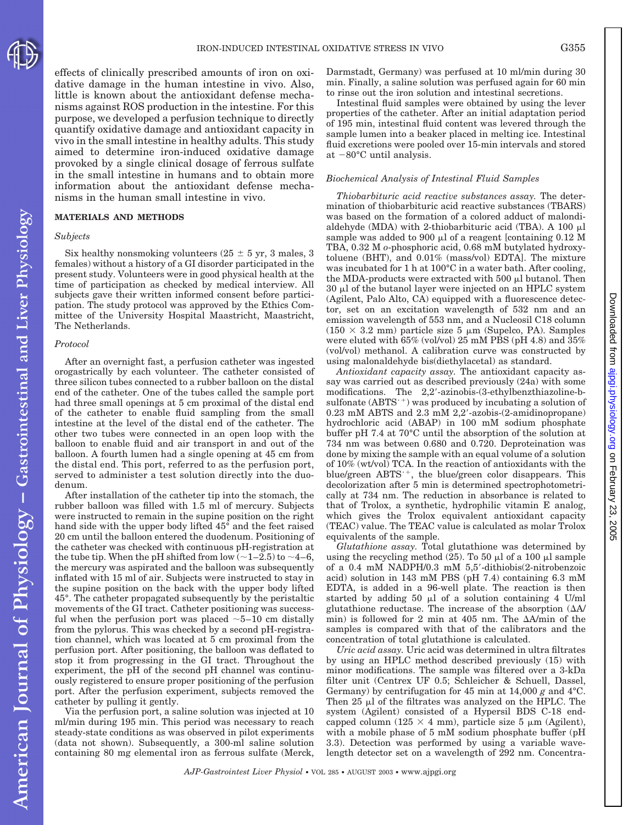effects of clinically prescribed amounts of iron on oxidative damage in the human intestine in vivo. Also, little is known about the antioxidant defense mechanisms against ROS production in the intestine. For this purpose, we developed a perfusion technique to directly quantify oxidative damage and antioxidant capacity in vivo in the small intestine in healthy adults. This study aimed to determine iron-induced oxidative damage provoked by a single clinical dosage of ferrous sulfate in the small intestine in humans and to obtain more information about the antioxidant defense mechanisms in the human small intestine in vivo.

### **MATERIALS AND METHODS**

### *Subjects*

Six healthy nonsmoking volunteers  $(25 \pm 5 \text{ yr}, 3 \text{ males}, 3)$ females) without a history of a GI disorder participated in the present study. Volunteers were in good physical health at the time of participation as checked by medical interview. All subjects gave their written informed consent before participation. The study protocol was approved by the Ethics Committee of the University Hospital Maastricht, Maastricht, The Netherlands.

#### *Protocol*

American Journal of Physiology - Gastrointestinal and Liver Physiology

After an overnight fast, a perfusion catheter was ingested orogastrically by each volunteer. The catheter consisted of three silicon tubes connected to a rubber balloon on the distal end of the catheter. One of the tubes called the sample port had three small openings at 5 cm proximal of the distal end of the catheter to enable fluid sampling from the small intestine at the level of the distal end of the catheter. The other two tubes were connected in an open loop with the balloon to enable fluid and air transport in and out of the balloon. A fourth lumen had a single opening at 45 cm from the distal end. This port, referred to as the perfusion port, served to administer a test solution directly into the duodenum.

After installation of the catheter tip into the stomach, the rubber balloon was filled with 1.5 ml of mercury. Subjects were instructed to remain in the supine position on the right hand side with the upper body lifted 45° and the feet raised 20 cm until the balloon entered the duodenum. Positioning of the catheter was checked with continuous pH-registration at the tube tip. When the pH shifted from low  $(-1-2.5)$  to  $-4-6$ , the mercury was aspirated and the balloon was subsequently inflated with 15 ml of air. Subjects were instructed to stay in the supine position on the back with the upper body lifted 45°. The catheter propagated subsequently by the peristaltic movements of the GI tract. Catheter positioning was successful when the perfusion port was placed  $\sim$  5–10 cm distally from the pylorus. This was checked by a second pH-registration channel, which was located at 5 cm proximal from the perfusion port. After positioning, the balloon was deflated to stop it from progressing in the GI tract. Throughout the experiment, the pH of the second pH channel was continuously registered to ensure proper positioning of the perfusion port. After the perfusion experiment, subjects removed the catheter by pulling it gently.

Via the perfusion port, a saline solution was injected at 10 ml/min during 195 min. This period was necessary to reach steady-state conditions as was observed in pilot experiments (data not shown). Subsequently, a 300-ml saline solution containing 80 mg elemental iron as ferrous sulfate (Merck, Darmstadt, Germany) was perfused at 10 ml/min during 30 min. Finally, a saline solution was perfused again for 60 min to rinse out the iron solution and intestinal secretions.

Intestinal fluid samples were obtained by using the lever properties of the catheter. After an initial adaptation period of 195 min, intestinal fluid content was levered through the sample lumen into a beaker placed in melting ice. Intestinal fluid excretions were pooled over 15-min intervals and stored at  $-80^{\circ}$ C until analysis.

#### *Biochemical Analysis of Intestinal Fluid Samples*

*Thiobarbituric acid reactive substances assay.* The determination of thiobarbituric acid reactive substances (TBARS) was based on the formation of a colored adduct of malondialdehyde (MDA) with 2-thiobarbituric acid (TBA). A 100  $\mu$ l sample was added to 900  $\mu$ l of a reagent [containing 0.12 M TBA, 0.32 M *o*-phosphoric acid, 0.68 mM butylated hydroxytoluene (BHT), and 0.01% (mass/vol) EDTA]. The mixture was incubated for 1 h at 100°C in a water bath. After cooling, the MDA-products were extracted with 500  $\mu$ l butanol. Then  $30 \mu$ l of the butanol layer were injected on an HPLC system (Agilent, Palo Alto, CA) equipped with a fluorescence detector, set on an excitation wavelength of 532 nm and an emission wavelength of 553 nm, and a Nucleosil C18 column  $(150 \times 3.2 \text{ mm})$  particle size 5  $\mu$ m (Supelco, PA). Samples were eluted with 65% (vol/vol) 25 mM PBS (pH 4.8) and 35% (vol/vol) methanol. A calibration curve was constructed by using malonaldehyde bis(diethylacetal) as standard.

*Antioxidant capacity assay.* The antioxidant capacity assay was carried out as described previously (24a) with some modifications. The 2,2-azinobis-(3-ethylbenzthiazoline-bsulfonate  $(ABTS^{-+})$  was produced by incubating a solution of 0.23 mM ABTS and 2.3 mM 2,2-azobis-(2-amidinopropane) hydrochloric acid (ABAP) in 100 mM sodium phosphate buffer pH 7.4 at 70°C until the absorption of the solution at 734 nm was between 0.680 and 0.720. Deproteination was done by mixing the sample with an equal volume of a solution of 10% (wt/vol) TCA. In the reaction of antioxidants with the blue/green  $ABTS^{-+}$ , the blue/green color disappears. This decolorization after 5 min is determined spectrophotometrically at 734 nm. The reduction in absorbance is related to that of Trolox, a synthetic, hydrophilic vitamin E analog, which gives the Trolox equivalent antioxidant capacity (TEAC) value. The TEAC value is calculated as molar Trolox equivalents of the sample.

*Glutathione assay.* Total glutathione was determined by using the recycling method  $(25)$ . To 50  $\mu$ l of a 100  $\mu$ l sample of a 0.4 mM NADPH/0.3 mM 5,5-dithiobis(2-nitrobenzoic acid) solution in 143 mM PBS (pH 7.4) containing 6.3 mM EDTA, is added in a 96-well plate. The reaction is then started by adding 50  $\mu$ l of a solution containing 4 U/ml glutathione reductase. The increase of the absorption  $(\Delta A)$ min) is followed for 2 min at 405 nm. The  $\Delta A/\text{min}$  of the samples is compared with that of the calibrators and the concentration of total glutathione is calculated.

*Uric acid assay.* Uric acid was determined in ultra filtrates by using an HPLC method described previously (15) with minor modifications. The sample was filtered over a 3-kDa filter unit (Centrex UF 0.5; Schleicher & Schuell, Dassel, Germany) by centrifugation for 45 min at 14,000 *g* and 4°C. Then 25  $\mu$ l of the filtrates was analyzed on the HPLC. The system (Agilent) consisted of a Hypersil BDS C-18 endcapped column  $(125 \times 4 \text{ mm})$ , particle size 5  $\mu$ m (Agilent), with a mobile phase of 5 mM sodium phosphate buffer (pH 3.3). Detection was performed by using a variable wavelength detector set on a wavelength of 292 nm. Concentra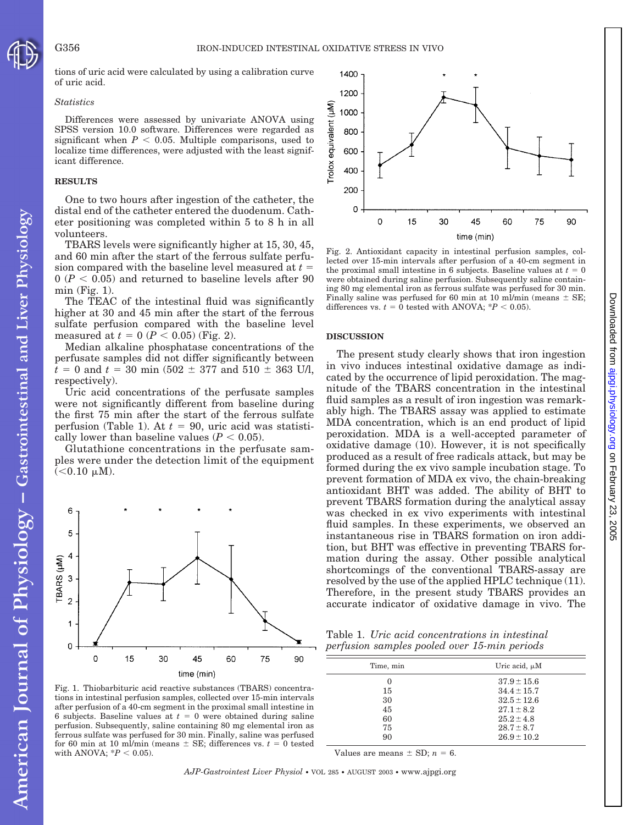tions of uric acid were calculated by using a calibration curve of uric acid.

### *Statistics*

Differences were assessed by univariate ANOVA using SPSS version 10.0 software. Differences were regarded as significant when  $P < 0.05$ . Multiple comparisons, used to localize time differences, were adjusted with the least significant difference.

### **RESULTS**

American Journal of Physiology - Gastrointestinal and Liver Physiology

One to two hours after ingestion of the catheter, the distal end of the catheter entered the duodenum. Catheter positioning was completed within 5 to 8 h in all volunteers.

TBARS levels were significantly higher at 15, 30, 45, and 60 min after the start of the ferrous sulfate perfusion compared with the baseline level measured at *t*  $0 (P < 0.05)$  and returned to baseline levels after 90 min (Fig. 1).

The TEAC of the intestinal fluid was significantly higher at 30 and 45 min after the start of the ferrous sulfate perfusion compared with the baseline level measured at  $t = 0$  ( $P < 0.05$ ) (Fig. 2).

Median alkaline phosphatase concentrations of the perfusate samples did not differ significantly between  $t = 0$  and  $t = 30$  min (502  $\pm$  377 and 510  $\pm$  363 U/l, respectively).

Uric acid concentrations of the perfusate samples were not significantly different from baseline during the first 75 min after the start of the ferrous sulfate perfusion (Table 1). At  $t = 90$ , uric acid was statistically lower than baseline values  $(P < 0.05)$ .

Glutathione concentrations in the perfusate samples were under the detection limit of the equipment  $(< 0.10 \mu M).$ 



Fig. 1. Thiobarbituric acid reactive substances (TBARS) concentrations in intestinal perfusion samples, collected over 15-min intervals after perfusion of a 40-cm segment in the proximal small intestine in 6 subjects. Baseline values at  $t = 0$  were obtained during saline perfusion. Subsequently, saline containing 80 mg elemental iron as ferrous sulfate was perfused for 30 min. Finally, saline was perfused for 60 min at 10 ml/min (means  $\pm$  SE; differences vs.  $t = 0$  tested with ANOVA;  $*P < 0.05$ ).



Fig. 2. Antioxidant capacity in intestinal perfusion samples, collected over 15-min intervals after perfusion of a 40-cm segment in the proximal small intestine in 6 subjects. Baseline values at  $t = 0$ were obtained during saline perfusion. Subsequently saline containing 80 mg elemental iron as ferrous sulfate was perfused for 30 min. Finally saline was perfused for 60 min at 10 ml/min (means  $\pm$  SE; differences vs.  $t = 0$  tested with ANOVA;  $*P < 0.05$ ).

#### **DISCUSSION**

The present study clearly shows that iron ingestion in vivo induces intestinal oxidative damage as indicated by the occurrence of lipid peroxidation. The magnitude of the TBARS concentration in the intestinal fluid samples as a result of iron ingestion was remarkably high. The TBARS assay was applied to estimate MDA concentration, which is an end product of lipid peroxidation. MDA is a well-accepted parameter of oxidative damage (10). However, it is not specifically produced as a result of free radicals attack, but may be formed during the ex vivo sample incubation stage. To prevent formation of MDA ex vivo, the chain-breaking antioxidant BHT was added. The ability of BHT to prevent TBARS formation during the analytical assay was checked in ex vivo experiments with intestinal fluid samples. In these experiments, we observed an instantaneous rise in TBARS formation on iron addition, but BHT was effective in preventing TBARS formation during the assay. Other possible analytical shortcomings of the conventional TBARS-assay are resolved by the use of the applied HPLC technique (11). Therefore, in the present study TBARS provides an accurate indicator of oxidative damage in vivo. The

Table 1. *Uric acid concentrations in intestinal perfusion samples pooled over 15-min periods*

| Time, min | Uric acid, $\mu$ M |
|-----------|--------------------|
| $\theta$  | $37.9 \pm 15.6$    |
| 15        | $34.4 \pm 15.7$    |
| 30        | $32.5 \pm 12.6$    |
| 45        | $27.1 \pm 8.2$     |
| 60        | $25.2 \pm 4.8$     |
| 75        | $28.7 \pm 8.7$     |
| 90        | $26.9 \pm 10.2$    |

Values are means  $\pm$  SD;  $n = 6$ .

*AJP-Gastrointest Liver Physiol* • VOL 285 • AUGUST 2003 • www.ajpgi.org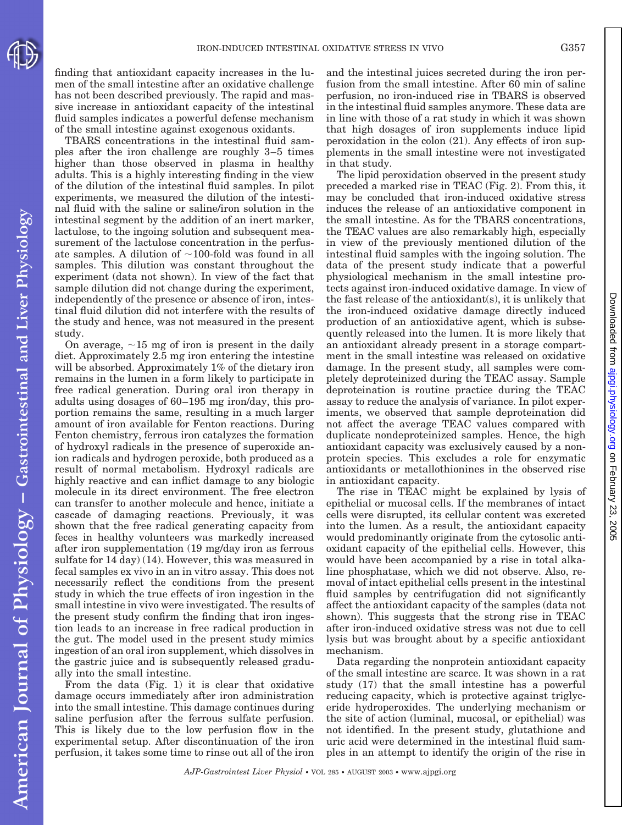American Journal of Physiology - Gastrointestinal and Liver Physiology

finding that antioxidant capacity increases in the lumen of the small intestine after an oxidative challenge has not been described previously. The rapid and massive increase in antioxidant capacity of the intestinal fluid samples indicates a powerful defense mechanism of the small intestine against exogenous oxidants.

TBARS concentrations in the intestinal fluid samples after the iron challenge are roughly 3–5 times higher than those observed in plasma in healthy adults. This is a highly interesting finding in the view of the dilution of the intestinal fluid samples. In pilot experiments, we measured the dilution of the intestinal fluid with the saline or saline/iron solution in the intestinal segment by the addition of an inert marker, lactulose, to the ingoing solution and subsequent measurement of the lactulose concentration in the perfusate samples. A dilution of  $\sim$ 100-fold was found in all samples. This dilution was constant throughout the experiment (data not shown). In view of the fact that sample dilution did not change during the experiment, independently of the presence or absence of iron, intestinal fluid dilution did not interfere with the results of the study and hence, was not measured in the present study.

On average,  $\sim$ 15 mg of iron is present in the daily diet. Approximately 2.5 mg iron entering the intestine will be absorbed. Approximately 1% of the dietary iron remains in the lumen in a form likely to participate in free radical generation. During oral iron therapy in adults using dosages of 60–195 mg iron/day, this proportion remains the same, resulting in a much larger amount of iron available for Fenton reactions. During Fenton chemistry, ferrous iron catalyzes the formation of hydroxyl radicals in the presence of superoxide anion radicals and hydrogen peroxide, both produced as a result of normal metabolism. Hydroxyl radicals are highly reactive and can inflict damage to any biologic molecule in its direct environment. The free electron can transfer to another molecule and hence, initiate a cascade of damaging reactions. Previously, it was shown that the free radical generating capacity from feces in healthy volunteers was markedly increased after iron supplementation (19 mg/day iron as ferrous sulfate for 14 day) (14). However, this was measured in fecal samples ex vivo in an in vitro assay. This does not necessarily reflect the conditions from the present study in which the true effects of iron ingestion in the small intestine in vivo were investigated. The results of the present study confirm the finding that iron ingestion leads to an increase in free radical production in the gut. The model used in the present study mimics ingestion of an oral iron supplement, which dissolves in the gastric juice and is subsequently released gradually into the small intestine.

From the data (Fig. 1) it is clear that oxidative damage occurs immediately after iron administration into the small intestine. This damage continues during saline perfusion after the ferrous sulfate perfusion. This is likely due to the low perfusion flow in the experimental setup. After discontinuation of the iron perfusion, it takes some time to rinse out all of the iron and the intestinal juices secreted during the iron perfusion from the small intestine. After 60 min of saline perfusion, no iron-induced rise in TBARS is observed in the intestinal fluid samples anymore. These data are in line with those of a rat study in which it was shown that high dosages of iron supplements induce lipid peroxidation in the colon (21). Any effects of iron supplements in the small intestine were not investigated in that study.

The lipid peroxidation observed in the present study preceded a marked rise in TEAC (Fig. 2). From this, it may be concluded that iron-induced oxidative stress induces the release of an antioxidative component in the small intestine. As for the TBARS concentrations, the TEAC values are also remarkably high, especially in view of the previously mentioned dilution of the intestinal fluid samples with the ingoing solution. The data of the present study indicate that a powerful physiological mechanism in the small intestine protects against iron-induced oxidative damage. In view of the fast release of the antioxidant(s), it is unlikely that the iron-induced oxidative damage directly induced production of an antioxidative agent, which is subsequently released into the lumen. It is more likely that an antioxidant already present in a storage compartment in the small intestine was released on oxidative damage. In the present study, all samples were completely deproteinized during the TEAC assay. Sample deproteination is routine practice during the TEAC assay to reduce the analysis of variance. In pilot experiments, we observed that sample deproteination did not affect the average TEAC values compared with duplicate nondeproteinized samples. Hence, the high antioxidant capacity was exclusively caused by a nonprotein species. This excludes a role for enzymatic antioxidants or metallothionines in the observed rise in antioxidant capacity.

The rise in TEAC might be explained by lysis of epithelial or mucosal cells. If the membranes of intact cells were disrupted, its cellular content was excreted into the lumen. As a result, the antioxidant capacity would predominantly originate from the cytosolic antioxidant capacity of the epithelial cells. However, this would have been accompanied by a rise in total alkaline phosphatase, which we did not observe. Also, removal of intact epithelial cells present in the intestinal fluid samples by centrifugation did not significantly affect the antioxidant capacity of the samples (data not shown). This suggests that the strong rise in TEAC after iron-induced oxidative stress was not due to cell lysis but was brought about by a specific antioxidant mechanism.

Data regarding the nonprotein antioxidant capacity of the small intestine are scarce. It was shown in a rat study (17) that the small intestine has a powerful reducing capacity, which is protective against triglyceride hydroperoxides. The underlying mechanism or the site of action (luminal, mucosal, or epithelial) was not identified. In the present study, glutathione and uric acid were determined in the intestinal fluid samples in an attempt to identify the origin of the rise in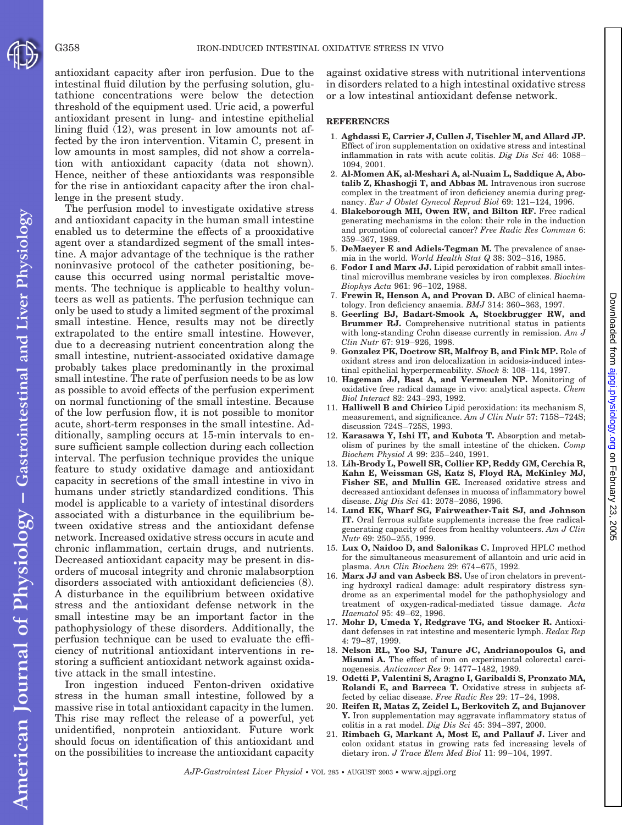lenge in the present study. The perfusion model to investigate oxidative stress American Journal of Physiology - Gastrointestinal and Liver Physiology and antioxidant capacity in the human small intestine enabled us to determine the effects of a prooxidative agent over a standardized segment of the small intestine. A major advantage of the technique is the rather noninvasive protocol of the catheter positioning, because this occurred using normal peristaltic movements. The technique is applicable to healthy volunteers as well as patients. The perfusion technique can only be used to study a limited segment of the proximal small intestine. Hence, results may not be directly extrapolated to the entire small intestine. However, due to a decreasing nutrient concentration along the small intestine, nutrient-associated oxidative damage probably takes place predominantly in the proximal small intestine. The rate of perfusion needs to be as low as possible to avoid effects of the perfusion experiment on normal functioning of the small intestine. Because of the low perfusion flow, it is not possible to monitor acute, short-term responses in the small intestine. Additionally, sampling occurs at 15-min intervals to ensure sufficient sample collection during each collection interval. The perfusion technique provides the unique feature to study oxidative damage and antioxidant capacity in secretions of the small intestine in vivo in humans under strictly standardized conditions. This model is applicable to a variety of intestinal disorders associated with a disturbance in the equilibrium between oxidative stress and the antioxidant defense network. Increased oxidative stress occurs in acute and chronic inflammation, certain drugs, and nutrients. Decreased antioxidant capacity may be present in disorders of mucosal integrity and chronic malabsorption disorders associated with antioxidant deficiencies (8). A disturbance in the equilibrium between oxidative stress and the antioxidant defense network in the small intestine may be an important factor in the pathophysiology of these disorders. Additionally, the perfusion technique can be used to evaluate the efficiency of nutritional antioxidant interventions in restoring a sufficient antioxidant network against oxidative attack in the small intestine.

Iron ingestion induced Fenton-driven oxidative stress in the human small intestine, followed by a massive rise in total antioxidant capacity in the lumen. This rise may reflect the release of a powerful, yet unidentified, nonprotein antioxidant. Future work should focus on identification of this antioxidant and on the possibilities to increase the antioxidant capacity

antioxidant capacity after iron perfusion. Due to the intestinal fluid dilution by the perfusing solution, glutathione concentrations were below the detection threshold of the equipment used. Uric acid, a powerful antioxidant present in lung- and intestine epithelial lining fluid (12), was present in low amounts not affected by the iron intervention. Vitamin C, present in low amounts in most samples, did not show a correlation with antioxidant capacity (data not shown). Hence, neither of these antioxidants was responsible for the rise in antioxidant capacity after the iron chalagainst oxidative stress with nutritional interventions in disorders related to a high intestinal oxidative stress or a low intestinal antioxidant defense network.

#### **REFERENCES**

- 1. **Aghdassi E, Carrier J, Cullen J, Tischler M, and Allard JP.** Effect of iron supplementation on oxidative stress and intestinal inflammation in rats with acute colitis. *Dig Dis Sci* 46: 1088– 1094, 2001.
- 2. **Al-Momen AK, al-Meshari A, al-Nuaim L, Saddique A, Abotalib Z, Khashogji T, and Abbas M.** Intravenous iron sucrose complex in the treatment of iron deficiency anemia during pregnancy. *Eur J Obstet Gynecol Reprod Biol* 69: 121–124, 1996.
- 4. **Blakeborough MH, Owen RW, and Bilton RF.** Free radical generating mechanisms in the colon: their role in the induction and promotion of colorectal cancer? *Free Radic Res Commun* 6: 359–367, 1989.
- 5. **DeMaeyer E and Adiels-Tegman M.** The prevalence of anaemia in the world. *World Health Stat Q* 38: 302–316, 1985.
- 6. **Fodor I and Marx JJ.** Lipid peroxidation of rabbit small intestinal microvillus membrane vesicles by iron complexes. *Biochim Biophys Acta* 961: 96–102, 1988.
- 7. **Frewin R, Henson A, and Provan D.** ABC of clinical haematology. Iron deficiency anaemia. *BMJ* 314: 360–363, 1997.
- 8. **Geerling BJ, Badart-Smook A, Stockbrugger RW, and Brummer RJ.** Comprehensive nutritional status in patients with long-standing Crohn disease currently in remission. *Am J Clin Nutr* 67: 919–926, 1998.
- 9. **Gonzalez PK, Doctrow SR, Malfroy B, and Fink MP.** Role of oxidant stress and iron delocalization in acidosis-induced intestinal epithelial hyperpermeability. *Shock* 8: 108–114, 1997.
- 10. **Hageman JJ, Bast A, and Vermeulen NP.** Monitoring of oxidative free radical damage in vivo: analytical aspects. *Chem Biol Interact* 82: 243–293, 1992.
- 11. **Halliwell B and Chirico** Lipid peroxidation: its mechanism S, measurement, and significance. *Am J Clin Nutr* 57: 715S–724S; discussion 724S–725S, 1993.
- 12. **Karasawa Y, Ishi IT, and Kubota T.** Absorption and metabolism of purines by the small intestine of the chicken. *Comp Biochem Physiol A* 99: 235–240, 1991.
- 13. **Lih-Brody L, Powell SR, Collier KP, Reddy GM, Cerchia R, Kahn E, Weissman GS, Katz S, Floyd RA, McKinley MJ, Fisher SE, and Mullin GE.** Increased oxidative stress and decreased antioxidant defenses in mucosa of inflammatory bowel disease. *Dig Dis Sci* 41: 2078–2086, 1996.
- 14. **Lund EK, Wharf SG, Fairweather-Tait SJ, and Johnson IT.** Oral ferrous sulfate supplements increase the free radicalgenerating capacity of feces from healthy volunteers. *Am J Clin Nutr* 69: 250–255, 1999.
- 15. **Lux O, Naidoo D, and Salonikas C.** Improved HPLC method for the simultaneous measurement of allantoin and uric acid in plasma. *Ann Clin Biochem* 29: 674–675, 1992.
- 16. **Marx JJ and van Asbeck BS.** Use of iron chelators in preventing hydroxyl radical damage: adult respiratory distress syndrome as an experimental model for the pathophysiology and treatment of oxygen-radical-mediated tissue damage. *Acta Haematol* 95: 49–62, 1996.
- 17. **Mohr D, Umeda Y, Redgrave TG, and Stocker R.** Antioxidant defenses in rat intestine and mesenteric lymph. *Redox Rep* 4: 79–87, 1999.
- 18. **Nelson RL, Yoo SJ, Tanure JC, Andrianopoulos G, and Misumi A.** The effect of iron on experimental colorectal carcinogenesis. *Anticancer Res* 9: 1477–1482, 1989.
- 19. **Odetti P, Valentini S, Aragno I, Garibaldi S, Pronzato MA, Rolandi E, and Barreca T.** Oxidative stress in subjects affected by celiac disease. *Free Radic Res* 29: 17–24, 1998.
- 20. **Reifen R, Matas Z, Zeidel L, Berkovitch Z, and Bujanover Y.** Iron supplementation may aggravate inflammatory status of colitis in a rat model. *Dig Dis Sci* 45: 394–397, 2000.
- 21. **Rimbach G, Markant A, Most E, and Pallauf J.** Liver and colon oxidant status in growing rats fed increasing levels of dietary iron. *J Trace Elem Med Biol* 11: 99–104, 1997.

*AJP-Gastrointest Liver Physiol* • VOL 285 • AUGUST 2003 • www.ajpgi.org